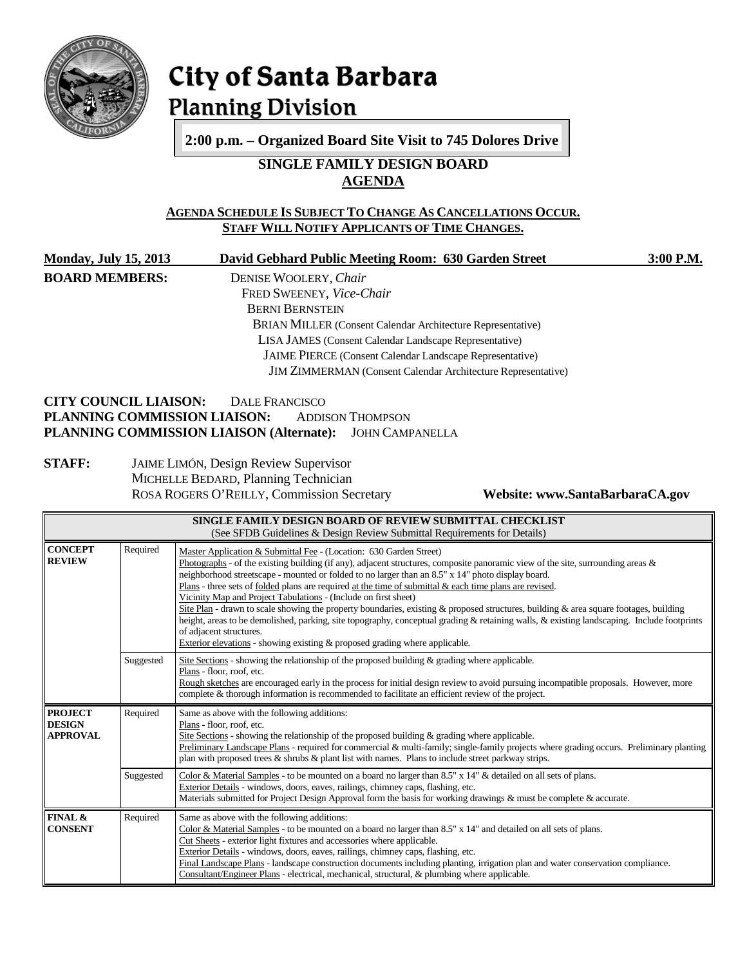

# City of Santa Barbara **Planning Division**

**2:00 p.m. – Organized Board Site Visit to 745 Dolores Drive**

## **SINGLE FAMILY DESIGN BOARD AGENDA**

## **AGENDA SCHEDULE IS SUBJECT TO CHANGE AS CANCELLATIONS OCCUR. STAFF WILL NOTIFY APPLICANTS OF TIME CHANGES.**

**Monday, July 15, 2013 David Gebhard Public Meeting Room: 630 Garden Street 3:00 P.M. BOARD MEMBERS:** DENISE WOOLERY, *Chair*

FRED SWEENEY, *Vice-Chair* BERNI BERNSTEIN BRIAN MILLER (Consent Calendar Architecture Representative) LISA JAMES (Consent Calendar Landscape Representative) JAIME PIERCE (Consent Calendar Landscape Representative) JIM ZIMMERMAN (Consent Calendar Architecture Representative)

## **CITY COUNCIL LIAISON:** DALE FRANCISCO<br>**PLANNING COMMISSION LIAISON:** ADDISON THOMPSON **PLANNING COMMISSION LIAISON: PLANNING COMMISSION LIAISON (Alternate):** JOHN CAMPANELLA

## **STAFF:** JAIME LIMÓN, Design Review Supervisor MICHELLE BEDARD, Planning Technician ROSA ROGERS O'REILLY, Commission Secretary **Website: www.SantaBarbaraCA.gov**

| SINGLE FAMILY DESIGN BOARD OF REVIEW SUBMITTAL CHECKLIST<br>(See SFDB Guidelines & Design Review Submittal Requirements for Details) |           |                                                                                                                                                                                                                                                                                                                                                                                                                                                                                                                                                                                                                                                                                                                                                                                                                                                                                              |  |  |  |
|--------------------------------------------------------------------------------------------------------------------------------------|-----------|----------------------------------------------------------------------------------------------------------------------------------------------------------------------------------------------------------------------------------------------------------------------------------------------------------------------------------------------------------------------------------------------------------------------------------------------------------------------------------------------------------------------------------------------------------------------------------------------------------------------------------------------------------------------------------------------------------------------------------------------------------------------------------------------------------------------------------------------------------------------------------------------|--|--|--|
| <b>CONCEPT</b><br><b>REVIEW</b>                                                                                                      | Required  | Master Application & Submittal Fee - (Location: 630 Garden Street)<br>Photographs - of the existing building (if any), adjacent structures, composite panoramic view of the site, surrounding areas $\&$<br>neighborhood streetscape - mounted or folded to no larger than an 8.5" x 14" photo display board.<br>Plans - three sets of folded plans are required at the time of submittal & each time plans are revised.<br>Vicinity Map and Project Tabulations - (Include on first sheet)<br>Site Plan - drawn to scale showing the property boundaries, existing & proposed structures, building & area square footages, building<br>height, areas to be demolished, parking, site topography, conceptual grading & retaining walls, & existing landscaping. Include footprints<br>of adjacent structures.<br>Exterior elevations - showing existing & proposed grading where applicable. |  |  |  |
|                                                                                                                                      | Suggested | Site Sections - showing the relationship of the proposed building $\&$ grading where applicable.<br>Plans - floor, roof, etc.<br>Rough sketches are encouraged early in the process for initial design review to avoid pursuing incompatible proposals. However, more<br>complete & thorough information is recommended to facilitate an efficient review of the project.                                                                                                                                                                                                                                                                                                                                                                                                                                                                                                                    |  |  |  |
| Required<br><b>PROJECT</b><br><b>DESIGN</b><br>Plans - floor, roof, etc.<br><b>APPROVAL</b>                                          |           | Same as above with the following additions:<br>Site Sections - showing the relationship of the proposed building $\&$ grading where applicable.<br>Preliminary Landscape Plans - required for commercial & multi-family; single-family projects where grading occurs. Preliminary planting<br>plan with proposed trees $\&$ shrubs $\&$ plant list with names. Plans to include street parkway strips.                                                                                                                                                                                                                                                                                                                                                                                                                                                                                       |  |  |  |
|                                                                                                                                      | Suggested | Color & Material Samples - to be mounted on a board no larger than 8.5" x 14" & detailed on all sets of plans.<br>Exterior Details - windows, doors, eaves, railings, chimney caps, flashing, etc.<br>Materials submitted for Project Design Approval form the basis for working drawings & must be complete & accurate.                                                                                                                                                                                                                                                                                                                                                                                                                                                                                                                                                                     |  |  |  |
| FINAL &<br><b>CONSENT</b>                                                                                                            | Required  | Same as above with the following additions:<br>Color & Material Samples - to be mounted on a board no larger than $8.5"$ x $14"$ and detailed on all sets of plans.<br>Cut Sheets - exterior light fixtures and accessories where applicable.<br>Exterior Details - windows, doors, eaves, railings, chimney caps, flashing, etc.<br>Final Landscape Plans - landscape construction documents including planting, irrigation plan and water conservation compliance.<br>Consultant/Engineer Plans - electrical, mechanical, structural, & plumbing where applicable.                                                                                                                                                                                                                                                                                                                         |  |  |  |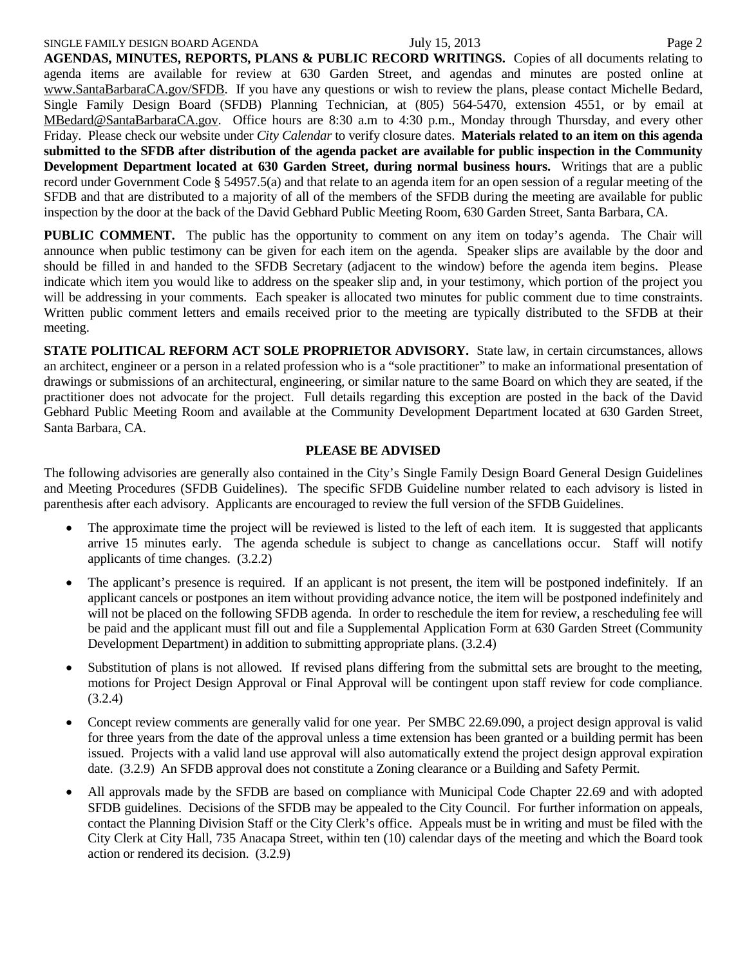#### SINGLE FAMILY DESIGN BOARD AGENDA July 15, 2013

**AGENDAS, MINUTES, REPORTS, PLANS & PUBLIC RECORD WRITINGS.** Copies of all documents relating to agenda items are available for review at 630 Garden Street, and agendas and minutes are posted online at [www.SantaBarbaraCA.gov/SFDB.](http://www.santabarbaraca.gov/ABR) If you have any questions or wish to review the plans, please contact Michelle Bedard, Single Family Design Board (SFDB) Planning Technician, at (805) 564-5470, extension 4551, or by email at [MBedard@SantaBarbaraCA.gov.](mailto:MBedard@SantaBarbaraCA.gov) Office hours are 8:30 a.m to 4:30 p.m., Monday through Thursday, and every other Friday. Please check our website under *City Calendar* to verify closure dates. **Materials related to an item on this agenda submitted to the SFDB after distribution of the agenda packet are available for public inspection in the Community Development Department located at 630 Garden Street, during normal business hours.** Writings that are a public record under Government Code § 54957.5(a) and that relate to an agenda item for an open session of a regular meeting of the SFDB and that are distributed to a majority of all of the members of the SFDB during the meeting are available for public inspection by the door at the back of the David Gebhard Public Meeting Room, 630 Garden Street, Santa Barbara, CA.

**PUBLIC COMMENT.** The public has the opportunity to comment on any item on today's agenda. The Chair will announce when public testimony can be given for each item on the agenda. Speaker slips are available by the door and should be filled in and handed to the SFDB Secretary (adjacent to the window) before the agenda item begins. Please indicate which item you would like to address on the speaker slip and, in your testimony, which portion of the project you will be addressing in your comments. Each speaker is allocated two minutes for public comment due to time constraints. Written public comment letters and emails received prior to the meeting are typically distributed to the SFDB at their meeting.

**STATE POLITICAL REFORM ACT SOLE PROPRIETOR ADVISORY.** State law, in certain circumstances, allows an architect, engineer or a person in a related profession who is a "sole practitioner" to make an informational presentation of drawings or submissions of an architectural, engineering, or similar nature to the same Board on which they are seated, if the practitioner does not advocate for the project. Full details regarding this exception are posted in the back of the David Gebhard Public Meeting Room and available at the Community Development Department located at 630 Garden Street, Santa Barbara, CA.

#### **PLEASE BE ADVISED**

The following advisories are generally also contained in the City's Single Family Design Board General Design Guidelines and Meeting Procedures (SFDB Guidelines). The specific SFDB Guideline number related to each advisory is listed in parenthesis after each advisory. Applicants are encouraged to review the full version of the SFDB Guidelines.

- The approximate time the project will be reviewed is listed to the left of each item. It is suggested that applicants arrive 15 minutes early. The agenda schedule is subject to change as cancellations occur. Staff will notify applicants of time changes. (3.2.2)
- The applicant's presence is required. If an applicant is not present, the item will be postponed indefinitely. If an applicant cancels or postpones an item without providing advance notice, the item will be postponed indefinitely and will not be placed on the following SFDB agenda. In order to reschedule the item for review, a rescheduling fee will be paid and the applicant must fill out and file a Supplemental Application Form at 630 Garden Street (Community Development Department) in addition to submitting appropriate plans. (3.2.4)
- Substitution of plans is not allowed. If revised plans differing from the submittal sets are brought to the meeting, motions for Project Design Approval or Final Approval will be contingent upon staff review for code compliance. (3.2.4)
- Concept review comments are generally valid for one year. Per SMBC 22.69.090, a project design approval is valid for three years from the date of the approval unless a time extension has been granted or a building permit has been issued. Projects with a valid land use approval will also automatically extend the project design approval expiration date. (3.2.9) An SFDB approval does not constitute a Zoning clearance or a Building and Safety Permit.
- All approvals made by the SFDB are based on compliance with Municipal Code Chapter 22.69 and with adopted SFDB guidelines. Decisions of the SFDB may be appealed to the City Council. For further information on appeals, contact the Planning Division Staff or the City Clerk's office. Appeals must be in writing and must be filed with the City Clerk at City Hall, 735 Anacapa Street, within ten (10) calendar days of the meeting and which the Board took action or rendered its decision. (3.2.9)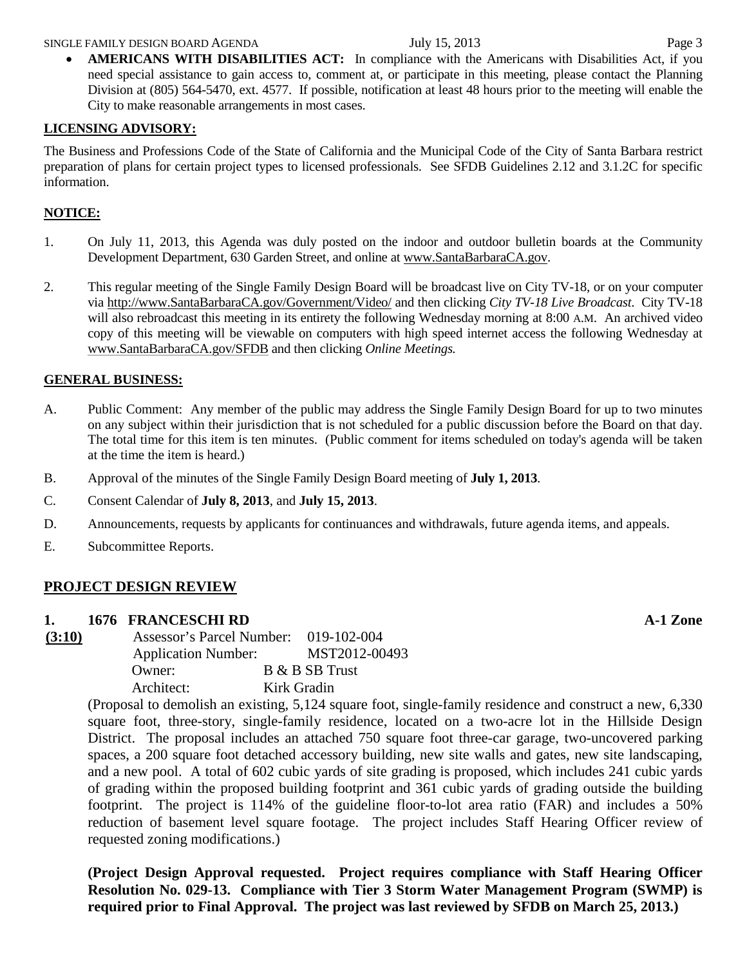• **AMERICANS WITH DISABILITIES ACT:** In compliance with the Americans with Disabilities Act. if you need special assistance to gain access to, comment at, or participate in this meeting, please contact the Planning Division at (805) 564-5470, ext. 4577. If possible, notification at least 48 hours prior to the meeting will enable the City to make reasonable arrangements in most cases.

## **LICENSING ADVISORY:**

The Business and Professions Code of the State of California and the Municipal Code of the City of Santa Barbara restrict preparation of plans for certain project types to licensed professionals. See SFDB Guidelines 2.12 and 3.1.2C for specific information.

## **NOTICE:**

- 1. On July 11, 2013, this Agenda was duly posted on the indoor and outdoor bulletin boards at the Community Development Department, 630 Garden Street, and online at [www.SantaBarbaraCA.gov.](http://www.santabarbaraca.gov/)
- 2. This regular meeting of the Single Family Design Board will be broadcast live on City TV-18, or on your computer via [http://www.SantaBarbaraCA.gov/Government/Video/](http://www.santabarbaraca.gov/Government/Video/) and then clicking *City TV-18 Live Broadcast*. City TV-18 will also rebroadcast this meeting in its entirety the following Wednesday morning at 8:00 A.M. An archived video copy of this meeting will be viewable on computers with high speed internet access the following Wednesday at [www.SantaBarbaraCA.gov/SFDB](http://www.santabarbaraca.gov/SFDB) and then clicking *Online Meetings.*

## **GENERAL BUSINESS:**

- A. Public Comment: Any member of the public may address the Single Family Design Board for up to two minutes on any subject within their jurisdiction that is not scheduled for a public discussion before the Board on that day. The total time for this item is ten minutes. (Public comment for items scheduled on today's agenda will be taken at the time the item is heard.)
- B. Approval of the minutes of the Single Family Design Board meeting of **July 1, 2013**.
- C. Consent Calendar of **July 8, 2013**, and **July 15, 2013**.
- D. Announcements, requests by applicants for continuances and withdrawals, future agenda items, and appeals.
- E. Subcommittee Reports.

## **PROJECT DESIGN REVIEW**

## **1. 1676 FRANCESCHI RD A-1 Zone**

**(3:10)** Assessor's Parcel Number: 019-102-004 Application Number: MST2012-00493 Owner: B & B SB Trust Architect: Kirk Gradin

(Proposal to demolish an existing, 5,124 square foot, single-family residence and construct a new, 6,330 square foot, three-story, single-family residence, located on a two-acre lot in the Hillside Design District. The proposal includes an attached 750 square foot three-car garage, two-uncovered parking spaces, a 200 square foot detached accessory building, new site walls and gates, new site landscaping, and a new pool. A total of 602 cubic yards of site grading is proposed, which includes 241 cubic yards of grading within the proposed building footprint and 361 cubic yards of grading outside the building footprint. The project is 114% of the guideline floor-to-lot area ratio (FAR) and includes a 50% reduction of basement level square footage. The project includes Staff Hearing Officer review of requested zoning modifications.)

**(Project Design Approval requested. Project requires compliance with Staff Hearing Officer Resolution No. 029-13. Compliance with Tier 3 Storm Water Management Program (SWMP) is required prior to Final Approval. The project was last reviewed by SFDB on March 25, 2013.)**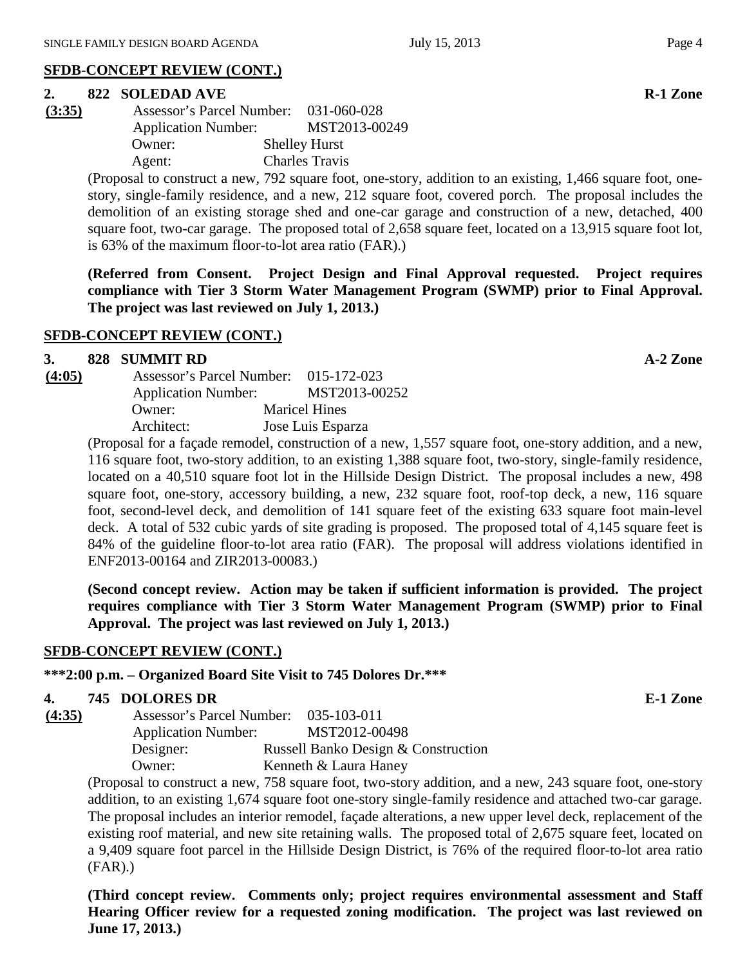## **SFDB-CONCEPT REVIEW (CONT.)**

#### **2. 822 SOLEDAD AVE R-1 Zone**

| (3:35)     | Assessor's Parcel Number:  | 031-060-028           |
|------------|----------------------------|-----------------------|
|            | <b>Application Number:</b> | MST2013-00249         |
|            | Owner:                     | <b>Shelley Hurst</b>  |
|            | Agent:                     | <b>Charles Travis</b> |
| $\sqrt{2}$ |                            |                       |

(Proposal to construct a new, 792 square foot, one-story, addition to an existing, 1,466 square foot, onestory, single-family residence, and a new, 212 square foot, covered porch. The proposal includes the demolition of an existing storage shed and one-car garage and construction of a new, detached, 400 square foot, two-car garage. The proposed total of 2,658 square feet, located on a 13,915 square foot lot, is 63% of the maximum floor-to-lot area ratio (FAR).)

**(Referred from Consent. Project Design and Final Approval requested. Project requires compliance with Tier 3 Storm Water Management Program (SWMP) prior to Final Approval. The project was last reviewed on July 1, 2013.)**

## **SFDB-CONCEPT REVIEW (CONT.)**

#### **3. 828 SUMMIT RD A-2 Zone**

| (4:05) | Assessor's Parcel Number: 015-172-023 |                      |
|--------|---------------------------------------|----------------------|
|        | <b>Application Number:</b>            | MST2013-00252        |
|        | Owner:                                | <b>Maricel Hines</b> |
|        | Architect:                            | Jose Luis Esparza    |

(Proposal for a façade remodel, construction of a new, 1,557 square foot, one-story addition, and a new, 116 square foot, two-story addition, to an existing 1,388 square foot, two-story, single-family residence, located on a 40,510 square foot lot in the Hillside Design District. The proposal includes a new, 498 square foot, one-story, accessory building, a new, 232 square foot, roof-top deck, a new, 116 square foot, second-level deck, and demolition of 141 square feet of the existing 633 square foot main-level deck. A total of 532 cubic yards of site grading is proposed. The proposed total of 4,145 square feet is 84% of the guideline floor-to-lot area ratio (FAR). The proposal will address violations identified in ENF2013-00164 and ZIR2013-00083.)

**(Second concept review. Action may be taken if sufficient information is provided. The project requires compliance with Tier 3 Storm Water Management Program (SWMP) prior to Final Approval. The project was last reviewed on July 1, 2013.)**

## **SFDB-CONCEPT REVIEW (CONT.)**

## **\*\*\*2:00 p.m. – Organized Board Site Visit to 745 Dolores Dr.\*\*\***

## **4. 745 DOLORES DR E-1 Zone**

**(4:35)** Assessor's Parcel Number: 035-103-011 Application Number: MST2012-00498 Designer: Russell Banko Design & Construction Owner: Kenneth & Laura Haney

(Proposal to construct a new, 758 square foot, two-story addition, and a new, 243 square foot, one-story addition, to an existing 1,674 square foot one-story single-family residence and attached two-car garage. The proposal includes an interior remodel, façade alterations, a new upper level deck, replacement of the existing roof material, and new site retaining walls. The proposed total of 2,675 square feet, located on a 9,409 square foot parcel in the Hillside Design District, is 76% of the required floor-to-lot area ratio (FAR).)

**(Third concept review. Comments only; project requires environmental assessment and Staff Hearing Officer review for a requested zoning modification. The project was last reviewed on June 17, 2013.)**